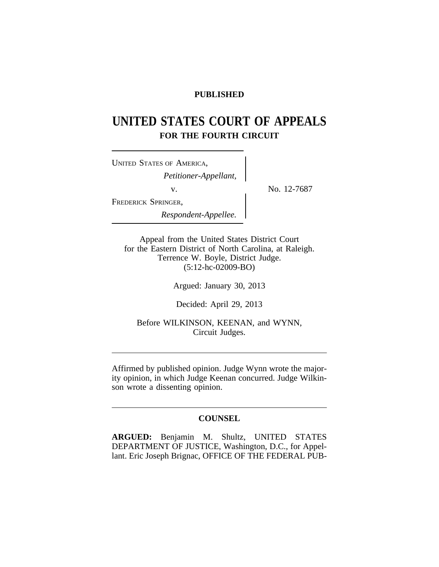# **PUBLISHED**

# **UNITED STATES COURT OF APPEALS FOR THE FOURTH CIRCUIT**

<sup>U</sup>NITED STATES OF AMERICA, *Petitioner-Appellant,* v.  $\qquad \qquad \sim \qquad \qquad$  No. 12-7687 FREDERICK SPRINGER, *Respondent-Appellee.*

Appeal from the United States District Court for the Eastern District of North Carolina, at Raleigh. Terrence W. Boyle, District Judge. (5:12-hc-02009-BO)

Argued: January 30, 2013

Decided: April 29, 2013

Before WILKINSON, KEENAN, and WYNN, Circuit Judges.

Affirmed by published opinion. Judge Wynn wrote the majority opinion, in which Judge Keenan concurred. Judge Wilkinson wrote a dissenting opinion.

# **COUNSEL**

**ARGUED:** Benjamin M. Shultz, UNITED STATES DEPARTMENT OF JUSTICE, Washington, D.C., for Appellant. Eric Joseph Brignac, OFFICE OF THE FEDERAL PUB-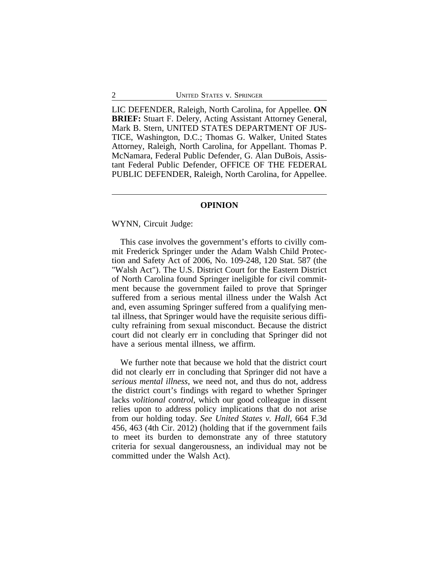LIC DEFENDER, Raleigh, North Carolina, for Appellee. **ON BRIEF:** Stuart F. Delery, Acting Assistant Attorney General, Mark B. Stern, UNITED STATES DEPARTMENT OF JUS-TICE, Washington, D.C.; Thomas G. Walker, United States Attorney, Raleigh, North Carolina, for Appellant. Thomas P. McNamara, Federal Public Defender, G. Alan DuBois, Assistant Federal Public Defender, OFFICE OF THE FEDERAL PUBLIC DEFENDER, Raleigh, North Carolina, for Appellee.

## **OPINION**

WYNN, Circuit Judge:

This case involves the government's efforts to civilly commit Frederick Springer under the Adam Walsh Child Protection and Safety Act of 2006, No. 109-248, 120 Stat. 587 (the "Walsh Act"). The U.S. District Court for the Eastern District of North Carolina found Springer ineligible for civil commitment because the government failed to prove that Springer suffered from a serious mental illness under the Walsh Act and, even assuming Springer suffered from a qualifying mental illness, that Springer would have the requisite serious difficulty refraining from sexual misconduct. Because the district court did not clearly err in concluding that Springer did not have a serious mental illness, we affirm.

We further note that because we hold that the district court did not clearly err in concluding that Springer did not have a *serious mental illness*, we need not, and thus do not, address the district court's findings with regard to whether Springer lacks *volitional control*, which our good colleague in dissent relies upon to address policy implications that do not arise from our holding today. *See United States v. Hall*, 664 F.3d 456, 463 (4th Cir. 2012) (holding that if the government fails to meet its burden to demonstrate any of three statutory criteria for sexual dangerousness, an individual may not be committed under the Walsh Act).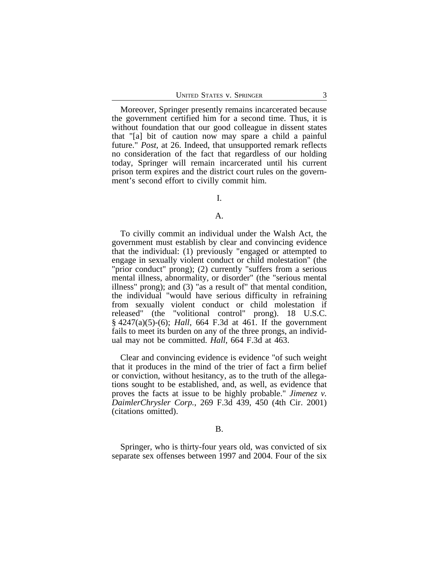Moreover, Springer presently remains incarcerated because the government certified him for a second time. Thus, it is without foundation that our good colleague in dissent states that "[a] bit of caution now may spare a child a painful future." *Post*, at 26. Indeed, that unsupported remark reflects no consideration of the fact that regardless of our holding today, Springer will remain incarcerated until his current prison term expires and the district court rules on the government's second effort to civilly commit him.

# I.

#### A.

To civilly commit an individual under the Walsh Act, the government must establish by clear and convincing evidence that the individual: (1) previously "engaged or attempted to engage in sexually violent conduct or child molestation" (the "prior conduct" prong); (2) currently "suffers from a serious mental illness, abnormality, or disorder" (the "serious mental illness" prong); and (3) "as a result of" that mental condition, the individual "would have serious difficulty in refraining from sexually violent conduct or child molestation if released" (the "volitional control" prong). 18 U.S.C. § 4247(a)(5)-(6); *Hall*, 664 F.3d at 461. If the government fails to meet its burden on any of the three prongs, an individual may not be committed. *Hall*, 664 F.3d at 463.

Clear and convincing evidence is evidence "of such weight that it produces in the mind of the trier of fact a firm belief or conviction, without hesitancy, as to the truth of the allegations sought to be established, and, as well, as evidence that proves the facts at issue to be highly probable." *Jimenez v. DaimlerChrysler Corp.*, 269 F.3d 439, 450 (4th Cir. 2001) (citations omitted).

#### B.

Springer, who is thirty-four years old, was convicted of six separate sex offenses between 1997 and 2004. Four of the six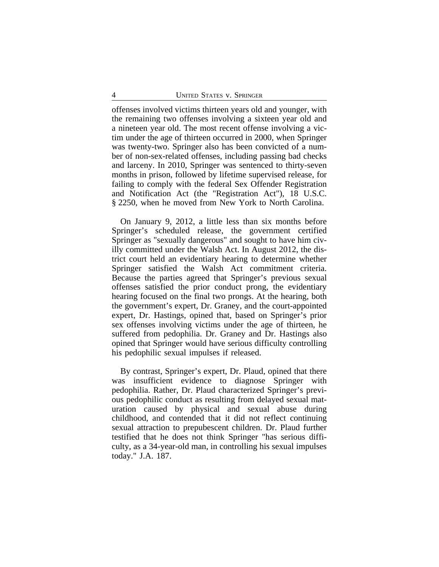offenses involved victims thirteen years old and younger, with the remaining two offenses involving a sixteen year old and a nineteen year old. The most recent offense involving a victim under the age of thirteen occurred in 2000, when Springer was twenty-two. Springer also has been convicted of a number of non-sex-related offenses, including passing bad checks and larceny. In 2010, Springer was sentenced to thirty-seven months in prison, followed by lifetime supervised release, for failing to comply with the federal Sex Offender Registration and Notification Act (the "Registration Act"), 18 U.S.C. § 2250, when he moved from New York to North Carolina.

On January 9, 2012, a little less than six months before Springer's scheduled release, the government certified Springer as "sexually dangerous" and sought to have him civilly committed under the Walsh Act. In August 2012, the district court held an evidentiary hearing to determine whether Springer satisfied the Walsh Act commitment criteria. Because the parties agreed that Springer's previous sexual offenses satisfied the prior conduct prong, the evidentiary hearing focused on the final two prongs. At the hearing, both the government's expert, Dr. Graney, and the court-appointed expert, Dr. Hastings, opined that, based on Springer's prior sex offenses involving victims under the age of thirteen, he suffered from pedophilia. Dr. Graney and Dr. Hastings also opined that Springer would have serious difficulty controlling his pedophilic sexual impulses if released.

By contrast, Springer's expert, Dr. Plaud, opined that there was insufficient evidence to diagnose Springer with pedophilia. Rather, Dr. Plaud characterized Springer's previous pedophilic conduct as resulting from delayed sexual maturation caused by physical and sexual abuse during childhood, and contended that it did not reflect continuing sexual attraction to prepubescent children. Dr. Plaud further testified that he does not think Springer "has serious difficulty, as a 34-year-old man, in controlling his sexual impulses today." J.A. 187.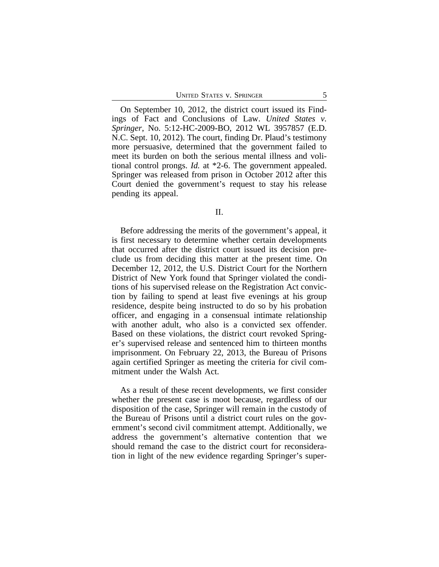UNITED STATES V. SPRINGER 5

On September 10, 2012, the district court issued its Findings of Fact and Conclusions of Law. *United States v. Springer*, No. 5:12-HC-2009-BO, 2012 WL 3957857 (E.D. N.C. Sept. 10, 2012). The court, finding Dr. Plaud's testimony more persuasive, determined that the government failed to meet its burden on both the serious mental illness and volitional control prongs. *Id.* at \*2-6. The government appealed. Springer was released from prison in October 2012 after this Court denied the government's request to stay his release pending its appeal.

II.

Before addressing the merits of the government's appeal, it is first necessary to determine whether certain developments that occurred after the district court issued its decision preclude us from deciding this matter at the present time. On December 12, 2012, the U.S. District Court for the Northern District of New York found that Springer violated the conditions of his supervised release on the Registration Act conviction by failing to spend at least five evenings at his group residence, despite being instructed to do so by his probation officer, and engaging in a consensual intimate relationship with another adult, who also is a convicted sex offender. Based on these violations, the district court revoked Springer's supervised release and sentenced him to thirteen months imprisonment. On February 22, 2013, the Bureau of Prisons again certified Springer as meeting the criteria for civil commitment under the Walsh Act.

As a result of these recent developments, we first consider whether the present case is moot because, regardless of our disposition of the case, Springer will remain in the custody of the Bureau of Prisons until a district court rules on the government's second civil commitment attempt. Additionally, we address the government's alternative contention that we should remand the case to the district court for reconsideration in light of the new evidence regarding Springer's super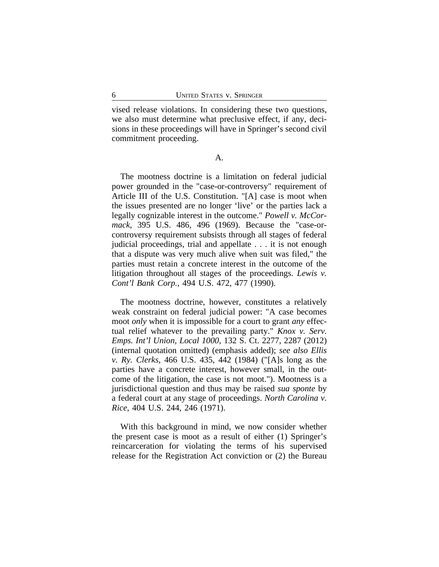vised release violations. In considering these two questions, we also must determine what preclusive effect, if any, decisions in these proceedings will have in Springer's second civil commitment proceeding.

A.

The mootness doctrine is a limitation on federal judicial power grounded in the "case-or-controversy" requirement of Article III of the U.S. Constitution. "[A] case is moot when the issues presented are no longer 'live' or the parties lack a legally cognizable interest in the outcome." *Powell v. McCormack*, 395 U.S. 486, 496 (1969). Because the "case-orcontroversy requirement subsists through all stages of federal judicial proceedings, trial and appellate . . . it is not enough that a dispute was very much alive when suit was filed," the parties must retain a concrete interest in the outcome of the litigation throughout all stages of the proceedings. *Lewis v. Cont'l Bank Corp.*, 494 U.S. 472, 477 (1990).

The mootness doctrine, however, constitutes a relatively weak constraint on federal judicial power: "A case becomes moot *only* when it is impossible for a court to grant *any* effectual relief whatever to the prevailing party." *Knox v. Serv. Emps. Int'l Union, Local 1000*, 132 S. Ct. 2277, 2287 (2012) (internal quotation omitted) (emphasis added); *see also Ellis v. Ry. Clerks*, 466 U.S. 435, 442 (1984) ("[A]s long as the parties have a concrete interest, however small, in the outcome of the litigation, the case is not moot."). Mootness is a jurisdictional question and thus may be raised *sua sponte* by a federal court at any stage of proceedings. *North Carolina v. Rice*, 404 U.S. 244, 246 (1971).

With this background in mind, we now consider whether the present case is moot as a result of either (1) Springer's reincarceration for violating the terms of his supervised release for the Registration Act conviction or (2) the Bureau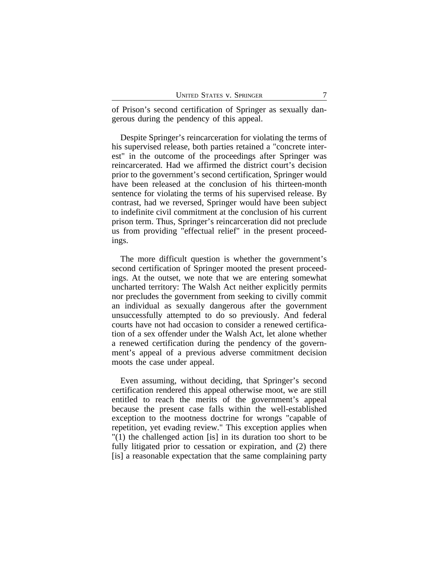of Prison's second certification of Springer as sexually dangerous during the pendency of this appeal.

Despite Springer's reincarceration for violating the terms of his supervised release, both parties retained a "concrete interest" in the outcome of the proceedings after Springer was reincarcerated. Had we affirmed the district court's decision prior to the government's second certification, Springer would have been released at the conclusion of his thirteen-month sentence for violating the terms of his supervised release. By contrast, had we reversed, Springer would have been subject to indefinite civil commitment at the conclusion of his current prison term. Thus, Springer's reincarceration did not preclude us from providing "effectual relief" in the present proceedings.

The more difficult question is whether the government's second certification of Springer mooted the present proceedings. At the outset, we note that we are entering somewhat uncharted territory: The Walsh Act neither explicitly permits nor precludes the government from seeking to civilly commit an individual as sexually dangerous after the government unsuccessfully attempted to do so previously. And federal courts have not had occasion to consider a renewed certification of a sex offender under the Walsh Act, let alone whether a renewed certification during the pendency of the government's appeal of a previous adverse commitment decision moots the case under appeal.

Even assuming, without deciding, that Springer's second certification rendered this appeal otherwise moot, we are still entitled to reach the merits of the government's appeal because the present case falls within the well-established exception to the mootness doctrine for wrongs "capable of repetition, yet evading review." This exception applies when "(1) the challenged action [is] in its duration too short to be fully litigated prior to cessation or expiration, and  $(2)$  there [is] a reasonable expectation that the same complaining party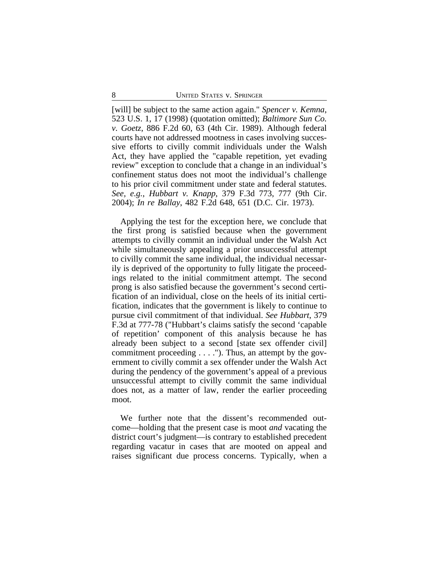[will] be subject to the same action again." *Spencer v. Kemna*, 523 U.S. 1, 17 (1998) (quotation omitted); *Baltimore Sun Co. v. Goetz*, 886 F.2d 60, 63 (4th Cir. 1989). Although federal courts have not addressed mootness in cases involving successive efforts to civilly commit individuals under the Walsh Act, they have applied the "capable repetition, yet evading review" exception to conclude that a change in an individual's confinement status does not moot the individual's challenge to his prior civil commitment under state and federal statutes. *See, e.g.*, *Hubbart v. Knapp*, 379 F.3d 773, 777 (9th Cir. 2004); *In re Ballay*, 482 F.2d 648, 651 (D.C. Cir. 1973).

Applying the test for the exception here, we conclude that the first prong is satisfied because when the government attempts to civilly commit an individual under the Walsh Act while simultaneously appealing a prior unsuccessful attempt to civilly commit the same individual, the individual necessarily is deprived of the opportunity to fully litigate the proceedings related to the initial commitment attempt. The second prong is also satisfied because the government's second certification of an individual, close on the heels of its initial certification, indicates that the government is likely to continue to pursue civil commitment of that individual. *See Hubbart*, 379 F.3d at 777-78 ("Hubbart's claims satisfy the second 'capable of repetition' component of this analysis because he has already been subject to a second [state sex offender civil] commitment proceeding  $\dots$ ."). Thus, an attempt by the government to civilly commit a sex offender under the Walsh Act during the pendency of the government's appeal of a previous unsuccessful attempt to civilly commit the same individual does not, as a matter of law, render the earlier proceeding moot.

We further note that the dissent's recommended outcome—holding that the present case is moot *and* vacating the district court's judgment—is contrary to established precedent regarding vacatur in cases that are mooted on appeal and raises significant due process concerns. Typically, when a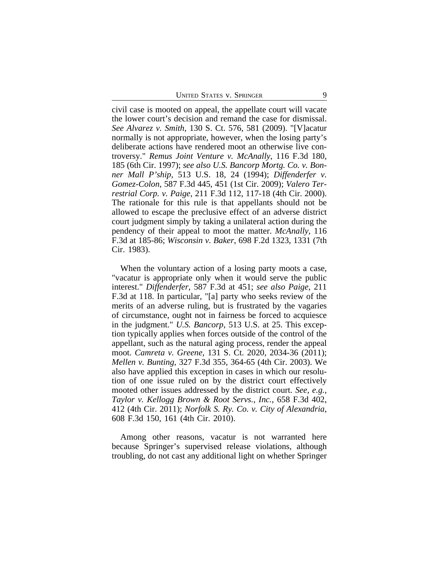UNITED STATES V. SPRINGER 9

civil case is mooted on appeal, the appellate court will vacate the lower court's decision and remand the case for dismissal. *See Alvarez v. Smith*, 130 S. Ct. 576, 581 (2009). "[V]acatur normally is not appropriate, however, when the losing party's deliberate actions have rendered moot an otherwise live controversy." *Remus Joint Venture v. McAnally*, 116 F.3d 180, 185 (6th Cir. 1997); *see also U.S. Bancorp Mortg. Co. v. Bonner Mall P'ship*, 513 U.S. 18, 24 (1994); *Diffenderfer v. Gomez-Colon*, 587 F.3d 445, 451 (1st Cir. 2009); *Valero Terrestrial Corp. v. Paige*, 211 F.3d 112, 117-18 (4th Cir. 2000). The rationale for this rule is that appellants should not be allowed to escape the preclusive effect of an adverse district court judgment simply by taking a unilateral action during the pendency of their appeal to moot the matter. *McAnally*, 116 F.3d at 185-86; *Wisconsin v. Baker*, 698 F.2d 1323, 1331 (7th Cir. 1983).

When the voluntary action of a losing party moots a case, "vacatur is appropriate only when it would serve the public interest." *Diffenderfer*, 587 F.3d at 451; *see also Paige*, 211 F.3d at 118. In particular, "[a] party who seeks review of the merits of an adverse ruling, but is frustrated by the vagaries of circumstance, ought not in fairness be forced to acquiesce in the judgment." *U.S. Bancorp*, 513 U.S. at 25. This exception typically applies when forces outside of the control of the appellant, such as the natural aging process, render the appeal moot. *Camreta v. Greene*, 131 S. Ct. 2020, 2034-36 (2011); *Mellen v. Bunting*, 327 F.3d 355, 364-65 (4th Cir. 2003). We also have applied this exception in cases in which our resolution of one issue ruled on by the district court effectively mooted other issues addressed by the district court. *See, e.g.*, *Taylor v. Kellogg Brown & Root Servs., Inc.*, 658 F.3d 402, 412 (4th Cir. 2011); *Norfolk S. Ry. Co. v. City of Alexandria*, 608 F.3d 150, 161 (4th Cir. 2010).

Among other reasons, vacatur is not warranted here because Springer's supervised release violations, although troubling, do not cast any additional light on whether Springer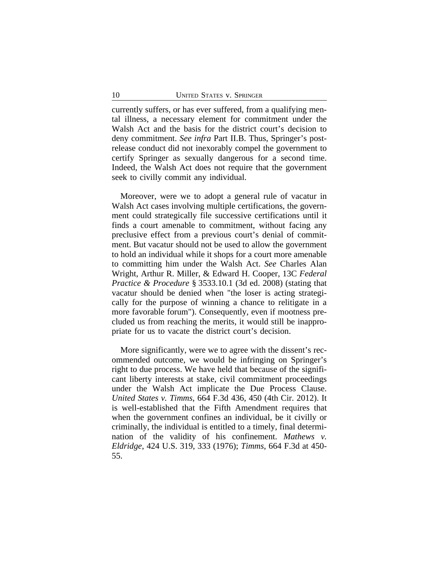currently suffers, or has ever suffered, from a qualifying mental illness, a necessary element for commitment under the Walsh Act and the basis for the district court's decision to deny commitment. *See infra* Part II.B. Thus, Springer's postrelease conduct did not inexorably compel the government to certify Springer as sexually dangerous for a second time. Indeed, the Walsh Act does not require that the government seek to civilly commit any individual.

Moreover, were we to adopt a general rule of vacatur in Walsh Act cases involving multiple certifications, the government could strategically file successive certifications until it finds a court amenable to commitment, without facing any preclusive effect from a previous court's denial of commitment. But vacatur should not be used to allow the government to hold an individual while it shops for a court more amenable to committing him under the Walsh Act. *See* Charles Alan Wright, Arthur R. Miller, & Edward H. Cooper, 13C *Federal Practice & Procedure* § 3533.10.1 (3d ed. 2008) (stating that vacatur should be denied when "the loser is acting strategically for the purpose of winning a chance to relitigate in a more favorable forum"). Consequently, even if mootness precluded us from reaching the merits, it would still be inappropriate for us to vacate the district court's decision.

More significantly, were we to agree with the dissent's recommended outcome, we would be infringing on Springer's right to due process. We have held that because of the significant liberty interests at stake, civil commitment proceedings under the Walsh Act implicate the Due Process Clause. *United States v. Timms*, 664 F.3d 436, 450 (4th Cir. 2012). It is well-established that the Fifth Amendment requires that when the government confines an individual, be it civilly or criminally, the individual is entitled to a timely, final determination of the validity of his confinement. *Mathews v. Eldridge*, 424 U.S. 319, 333 (1976); *Timms*, 664 F.3d at 450- 55.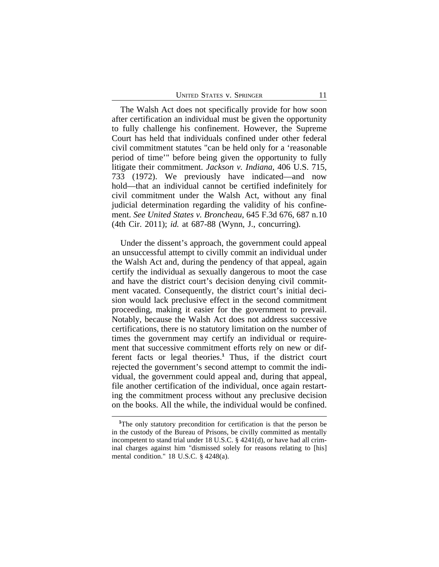The Walsh Act does not specifically provide for how soon after certification an individual must be given the opportunity to fully challenge his confinement. However, the Supreme Court has held that individuals confined under other federal civil commitment statutes "can be held only for a 'reasonable period of time'" before being given the opportunity to fully litigate their commitment. *Jackson v. Indiana*, 406 U.S. 715, 733 (1972). We previously have indicated—and now hold—that an individual cannot be certified indefinitely for civil commitment under the Walsh Act, without any final judicial determination regarding the validity of his confinement. *See United States v. Broncheau*, 645 F.3d 676, 687 n.10 (4th Cir. 2011); *id.* at 687-88 (Wynn, J., concurring).

Under the dissent's approach, the government could appeal an unsuccessful attempt to civilly commit an individual under the Walsh Act and, during the pendency of that appeal, again certify the individual as sexually dangerous to moot the case and have the district court's decision denying civil commitment vacated. Consequently, the district court's initial decision would lack preclusive effect in the second commitment proceeding, making it easier for the government to prevail. Notably, because the Walsh Act does not address successive certifications, there is no statutory limitation on the number of times the government may certify an individual or requirement that successive commitment efforts rely on new or different facts or legal theories.**<sup>1</sup>** Thus, if the district court rejected the government's second attempt to commit the individual, the government could appeal and, during that appeal, file another certification of the individual, once again restarting the commitment process without any preclusive decision on the books. All the while, the individual would be confined.

<sup>&</sup>lt;sup>1</sup>The only statutory precondition for certification is that the person be in the custody of the Bureau of Prisons, be civilly committed as mentally incompetent to stand trial under 18 U.S.C. § 4241(d), or have had all criminal charges against him "dismissed solely for reasons relating to [his] mental condition." 18 U.S.C. § 4248(a).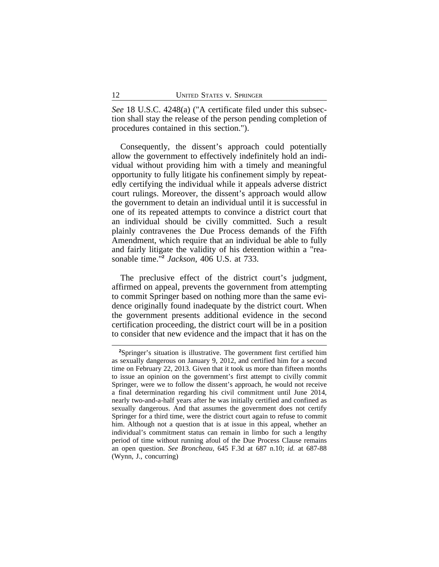*See* 18 U.S.C. 4248(a) ("A certificate filed under this subsection shall stay the release of the person pending completion of procedures contained in this section.").

Consequently, the dissent's approach could potentially allow the government to effectively indefinitely hold an individual without providing him with a timely and meaningful opportunity to fully litigate his confinement simply by repeatedly certifying the individual while it appeals adverse district court rulings. Moreover, the dissent's approach would allow the government to detain an individual until it is successful in one of its repeated attempts to convince a district court that an individual should be civilly committed. Such a result plainly contravenes the Due Process demands of the Fifth Amendment, which require that an individual be able to fully and fairly litigate the validity of his detention within a "reasonable time."**<sup>2</sup>** *Jackson*, 406 U.S. at 733.

The preclusive effect of the district court's judgment, affirmed on appeal, prevents the government from attempting to commit Springer based on nothing more than the same evidence originally found inadequate by the district court. When the government presents additional evidence in the second certification proceeding, the district court will be in a position to consider that new evidence and the impact that it has on the

**<sup>2</sup>**Springer's situation is illustrative. The government first certified him as sexually dangerous on January 9, 2012, and certified him for a second time on February 22, 2013. Given that it took us more than fifteen months to issue an opinion on the government's first attempt to civilly commit Springer, were we to follow the dissent's approach, he would not receive a final determination regarding his civil commitment until June 2014, nearly two-and-a-half years after he was initially certified and confined as sexually dangerous. And that assumes the government does not certify Springer for a third time, were the district court again to refuse to commit him. Although not a question that is at issue in this appeal, whether an individual's commitment status can remain in limbo for such a lengthy period of time without running afoul of the Due Process Clause remains an open question. *See Broncheau*, 645 F.3d at 687 n.10; *id.* at 687-88 (Wynn, J., concurring)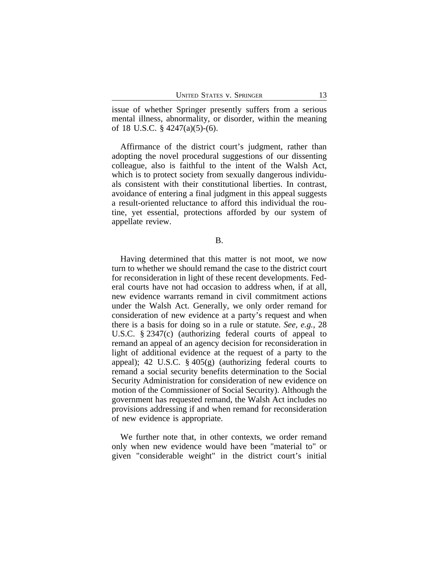issue of whether Springer presently suffers from a serious mental illness, abnormality, or disorder, within the meaning of 18 U.S.C. § 4247(a)(5)-(6).

Affirmance of the district court's judgment, rather than adopting the novel procedural suggestions of our dissenting colleague, also is faithful to the intent of the Walsh Act, which is to protect society from sexually dangerous individuals consistent with their constitutional liberties. In contrast, avoidance of entering a final judgment in this appeal suggests a result-oriented reluctance to afford this individual the routine, yet essential, protections afforded by our system of appellate review.

B.

Having determined that this matter is not moot, we now turn to whether we should remand the case to the district court for reconsideration in light of these recent developments. Federal courts have not had occasion to address when, if at all, new evidence warrants remand in civil commitment actions under the Walsh Act. Generally, we only order remand for consideration of new evidence at a party's request and when there is a basis for doing so in a rule or statute. *See, e.g.*, 28 U.S.C. § 2347(c) (authorizing federal courts of appeal to remand an appeal of an agency decision for reconsideration in light of additional evidence at the request of a party to the appeal); 42 U.S.C.  $\S$  405(g) (authorizing federal courts to remand a social security benefits determination to the Social Security Administration for consideration of new evidence on motion of the Commissioner of Social Security). Although the government has requested remand, the Walsh Act includes no provisions addressing if and when remand for reconsideration of new evidence is appropriate.

We further note that, in other contexts, we order remand only when new evidence would have been "material to" or given "considerable weight" in the district court's initial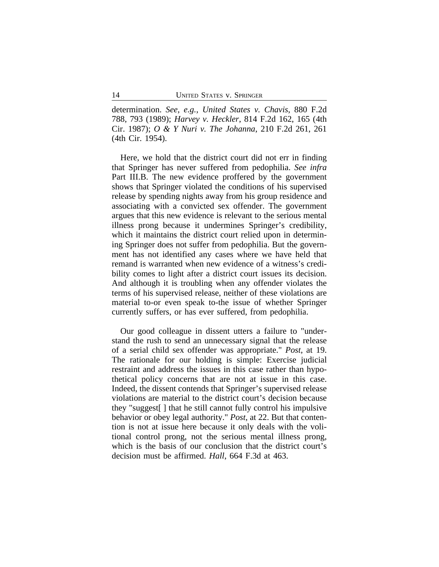determination. *See, e.g.*, *United States v. Chavis*, 880 F.2d 788, 793 (1989); *Harvey v. Heckler*, 814 F.2d 162, 165 (4th Cir. 1987); *O & Y Nuri v. The Johanna*, 210 F.2d 261, 261 (4th Cir. 1954).

Here, we hold that the district court did not err in finding that Springer has never suffered from pedophilia. *See infra* Part III.B. The new evidence proffered by the government shows that Springer violated the conditions of his supervised release by spending nights away from his group residence and associating with a convicted sex offender. The government argues that this new evidence is relevant to the serious mental illness prong because it undermines Springer's credibility, which it maintains the district court relied upon in determining Springer does not suffer from pedophilia. But the government has not identified any cases where we have held that remand is warranted when new evidence of a witness's credibility comes to light after a district court issues its decision. And although it is troubling when any offender violates the terms of his supervised release, neither of these violations are material to-or even speak to-the issue of whether Springer currently suffers, or has ever suffered, from pedophilia.

Our good colleague in dissent utters a failure to "understand the rush to send an unnecessary signal that the release of a serial child sex offender was appropriate." *Post*, at 19. The rationale for our holding is simple: Exercise judicial restraint and address the issues in this case rather than hypothetical policy concerns that are not at issue in this case. Indeed, the dissent contends that Springer's supervised release violations are material to the district court's decision because they "suggest[ ] that he still cannot fully control his impulsive behavior or obey legal authority." *Post*, at 22. But that contention is not at issue here because it only deals with the volitional control prong, not the serious mental illness prong, which is the basis of our conclusion that the district court's decision must be affirmed. *Hall*, 664 F.3d at 463.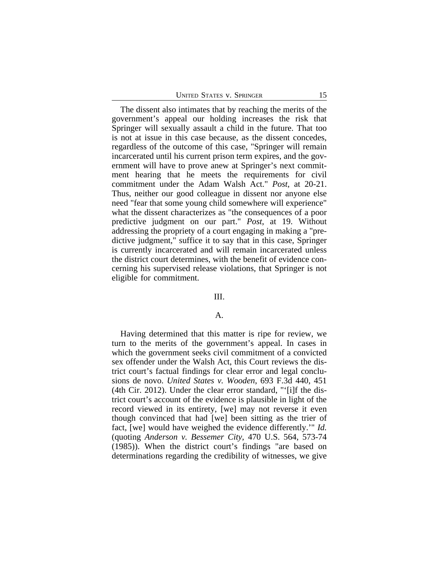The dissent also intimates that by reaching the merits of the government's appeal our holding increases the risk that Springer will sexually assault a child in the future. That too is not at issue in this case because, as the dissent concedes, regardless of the outcome of this case, "Springer will remain incarcerated until his current prison term expires, and the government will have to prove anew at Springer's next commitment hearing that he meets the requirements for civil commitment under the Adam Walsh Act." *Post*, at 20-21. Thus, neither our good colleague in dissent nor anyone else need "fear that some young child somewhere will experience" what the dissent characterizes as "the consequences of a poor predictive judgment on our part." *Post*, at 19. Without addressing the propriety of a court engaging in making a "predictive judgment," suffice it to say that in this case, Springer is currently incarcerated and will remain incarcerated unless the district court determines, with the benefit of evidence concerning his supervised release violations, that Springer is not eligible for commitment.

#### III.

## A.

Having determined that this matter is ripe for review, we turn to the merits of the government's appeal. In cases in which the government seeks civil commitment of a convicted sex offender under the Walsh Act, this Court reviews the district court's factual findings for clear error and legal conclusions de novo. *United States v. Wooden*, 693 F.3d 440, 451 (4th Cir. 2012). Under the clear error standard, "'[i]f the district court's account of the evidence is plausible in light of the record viewed in its entirety, [we] may not reverse it even though convinced that had [we] been sitting as the trier of fact, [we] would have weighed the evidence differently.'" *Id.* (quoting *Anderson v. Bessemer City*, 470 U.S. 564, 573-74 (1985)). When the district court's findings "are based on determinations regarding the credibility of witnesses, we give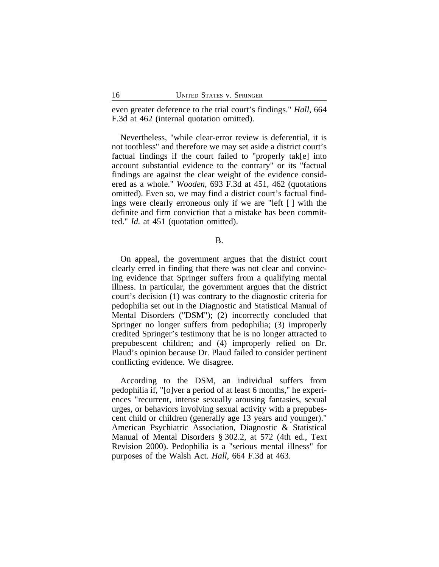even greater deference to the trial court's findings." *Hall*, 664 F.3d at 462 (internal quotation omitted).

Nevertheless, "while clear-error review is deferential, it is not toothless" and therefore we may set aside a district court's factual findings if the court failed to "properly tak[e] into account substantial evidence to the contrary" or its "factual findings are against the clear weight of the evidence considered as a whole." *Wooden*, 693 F.3d at 451, 462 (quotations omitted). Even so, we may find a district court's factual findings were clearly erroneous only if we are "left [ ] with the definite and firm conviction that a mistake has been committed." *Id.* at 451 (quotation omitted).

B.

On appeal, the government argues that the district court clearly erred in finding that there was not clear and convincing evidence that Springer suffers from a qualifying mental illness. In particular, the government argues that the district court's decision (1) was contrary to the diagnostic criteria for pedophilia set out in the Diagnostic and Statistical Manual of Mental Disorders ("DSM"); (2) incorrectly concluded that Springer no longer suffers from pedophilia; (3) improperly credited Springer's testimony that he is no longer attracted to prepubescent children; and (4) improperly relied on Dr. Plaud's opinion because Dr. Plaud failed to consider pertinent conflicting evidence. We disagree.

According to the DSM, an individual suffers from pedophilia if, "[o]ver a period of at least 6 months," he experiences "recurrent, intense sexually arousing fantasies, sexual urges, or behaviors involving sexual activity with a prepubescent child or children (generally age 13 years and younger)." American Psychiatric Association, Diagnostic & Statistical Manual of Mental Disorders § 302.2, at 572 (4th ed., Text Revision 2000). Pedophilia is a "serious mental illness" for purposes of the Walsh Act. *Hall*, 664 F.3d at 463.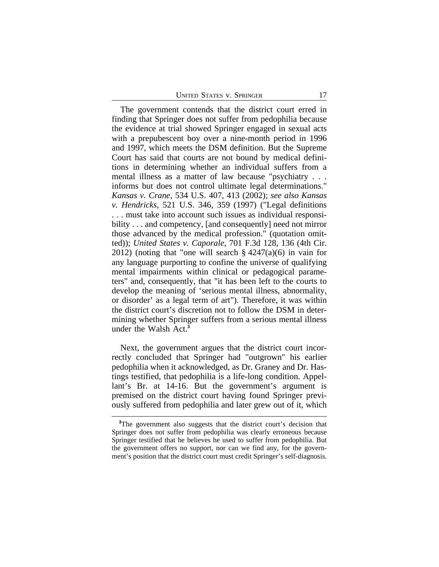The government contends that the district court erred in finding that Springer does not suffer from pedophilia because the evidence at trial showed Springer engaged in sexual acts with a prepubescent boy over a nine-month period in 1996 and 1997, which meets the DSM definition. But the Supreme Court has said that courts are not bound by medical definitions in determining whether an individual suffers from a mental illness as a matter of law because "psychiatry . . . informs but does not control ultimate legal determinations." *Kansas v. Crane*, 534 U.S. 407, 413 (2002); *see also Kansas v. Hendricks*, 521 U.S. 346, 359 (1997) ("Legal definitions . . . must take into account such issues as individual responsibility . . . and competency, [and consequently] need not mirror those advanced by the medical profession." (quotation omitted)); *United States v. Caporale*, 701 F.3d 128, 136 (4th Cir. 2012) (noting that "one will search § 4247(a)(6) in vain for any language purporting to confine the universe of qualifying mental impairments within clinical or pedagogical parameters" and, consequently, that "it has been left to the courts to develop the meaning of 'serious mental illness, abnormality, or disorder' as a legal term of art"). Therefore, it was within the district court's discretion not to follow the DSM in determining whether Springer suffers from a serious mental illness under the Walsh Act.**<sup>3</sup>**

Next, the government argues that the district court incorrectly concluded that Springer had "outgrown" his earlier pedophilia when it acknowledged, as Dr. Graney and Dr. Hastings testified, that pedophilia is a life-long condition. Appellant's Br. at 14-16. But the government's argument is premised on the district court having found Springer previously suffered from pedophilia and later grew out of it, which

**<sup>3</sup>**The government also suggests that the district court's decision that Springer does not suffer from pedophilia was clearly erroneous because Springer testified that he believes he used to suffer from pedophilia. But the government offers no support, nor can we find any, for the government's position that the district court must credit Springer's self-diagnosis.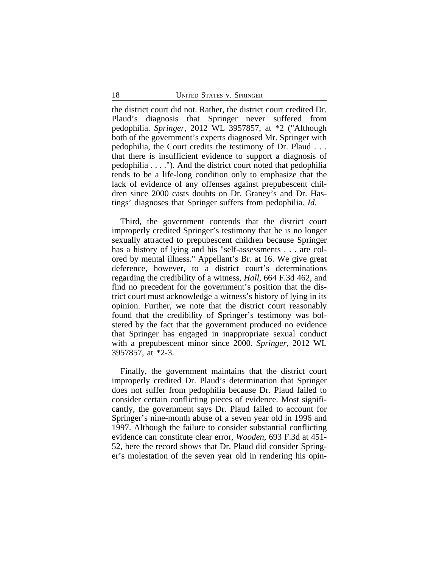the district court did not. Rather, the district court credited Dr. Plaud's diagnosis that Springer never suffered from pedophilia. *Springer*, 2012 WL 3957857, at \*2 ("Although both of the government's experts diagnosed Mr. Springer with pedophilia, the Court credits the testimony of Dr. Plaud . . . that there is insufficient evidence to support a diagnosis of pedophilia . . . ."). And the district court noted that pedophilia tends to be a life-long condition only to emphasize that the lack of evidence of any offenses against prepubescent children since 2000 casts doubts on Dr. Graney's and Dr. Hastings' diagnoses that Springer suffers from pedophilia. *Id.*

Third, the government contends that the district court improperly credited Springer's testimony that he is no longer sexually attracted to prepubescent children because Springer has a history of lying and his "self-assessments . . . are colored by mental illness." Appellant's Br. at 16. We give great deference, however, to a district court's determinations regarding the credibility of a witness, *Hall*, 664 F.3d 462, and find no precedent for the government's position that the district court must acknowledge a witness's history of lying in its opinion. Further, we note that the district court reasonably found that the credibility of Springer's testimony was bolstered by the fact that the government produced no evidence that Springer has engaged in inappropriate sexual conduct with a prepubescent minor since 2000. *Springer*, 2012 WL 3957857, at \*2-3.

Finally, the government maintains that the district court improperly credited Dr. Plaud's determination that Springer does not suffer from pedophilia because Dr. Plaud failed to consider certain conflicting pieces of evidence. Most significantly, the government says Dr. Plaud failed to account for Springer's nine-month abuse of a seven year old in 1996 and 1997. Although the failure to consider substantial conflicting evidence can constitute clear error, *Wooden*, 693 F.3d at 451- 52, here the record shows that Dr. Plaud did consider Springer's molestation of the seven year old in rendering his opin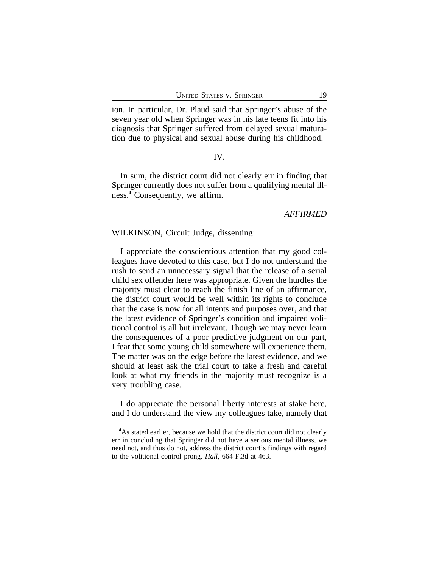ion. In particular, Dr. Plaud said that Springer's abuse of the seven year old when Springer was in his late teens fit into his diagnosis that Springer suffered from delayed sexual maturation due to physical and sexual abuse during his childhood.

#### IV.

In sum, the district court did not clearly err in finding that Springer currently does not suffer from a qualifying mental illness.**<sup>4</sup>** Consequently, we affirm.

## *AFFIRMED*

### WILKINSON, Circuit Judge, dissenting:

I appreciate the conscientious attention that my good colleagues have devoted to this case, but I do not understand the rush to send an unnecessary signal that the release of a serial child sex offender here was appropriate. Given the hurdles the majority must clear to reach the finish line of an affirmance, the district court would be well within its rights to conclude that the case is now for all intents and purposes over, and that the latest evidence of Springer's condition and impaired volitional control is all but irrelevant. Though we may never learn the consequences of a poor predictive judgment on our part, I fear that some young child somewhere will experience them. The matter was on the edge before the latest evidence, and we should at least ask the trial court to take a fresh and careful look at what my friends in the majority must recognize is a very troubling case.

I do appreciate the personal liberty interests at stake here, and I do understand the view my colleagues take, namely that

<sup>&</sup>lt;sup>4</sup>As stated earlier, because we hold that the district court did not clearly err in concluding that Springer did not have a serious mental illness, we need not, and thus do not, address the district court's findings with regard to the volitional control prong. *Hall*, 664 F.3d at 463.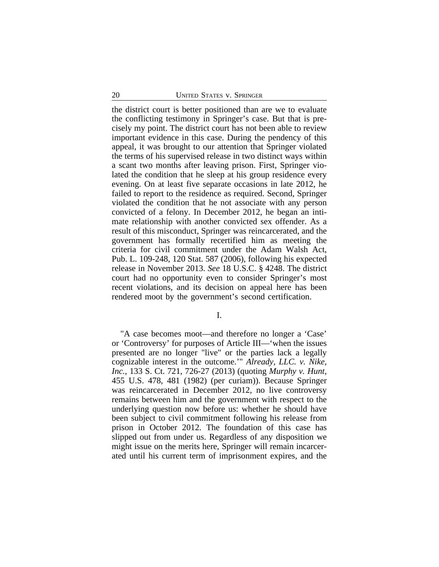the district court is better positioned than are we to evaluate the conflicting testimony in Springer's case. But that is precisely my point. The district court has not been able to review important evidence in this case. During the pendency of this appeal, it was brought to our attention that Springer violated the terms of his supervised release in two distinct ways within a scant two months after leaving prison. First, Springer violated the condition that he sleep at his group residence every evening. On at least five separate occasions in late 2012, he failed to report to the residence as required. Second, Springer violated the condition that he not associate with any person convicted of a felony. In December 2012, he began an intimate relationship with another convicted sex offender. As a result of this misconduct, Springer was reincarcerated, and the government has formally recertified him as meeting the criteria for civil commitment under the Adam Walsh Act, Pub. L. 109-248, 120 Stat. 587 (2006), following his expected release in November 2013. *See* 18 U.S.C. § 4248. The district court had no opportunity even to consider Springer's most recent violations, and its decision on appeal here has been rendered moot by the government's second certification.

I.

"A case becomes moot—and therefore no longer a 'Case' or 'Controversy' for purposes of Article III—'when the issues presented are no longer "live" or the parties lack a legally cognizable interest in the outcome.'" *Already, LLC. v. Nike, Inc.*, 133 S. Ct. 721, 726-27 (2013) (quoting *Murphy v. Hunt*, 455 U.S. 478, 481 (1982) (per curiam)). Because Springer was reincarcerated in December 2012, no live controversy remains between him and the government with respect to the underlying question now before us: whether he should have been subject to civil commitment following his release from prison in October 2012. The foundation of this case has slipped out from under us. Regardless of any disposition we might issue on the merits here, Springer will remain incarcerated until his current term of imprisonment expires, and the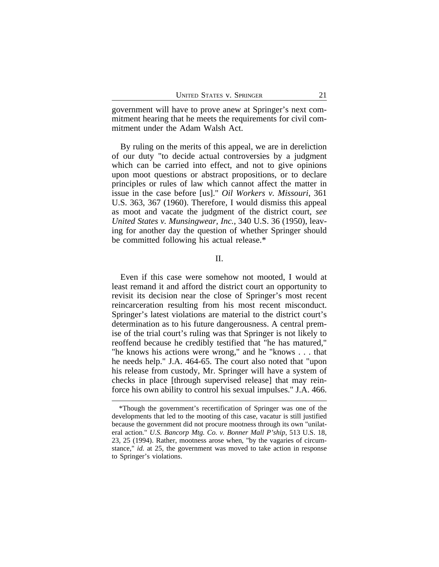government will have to prove anew at Springer's next commitment hearing that he meets the requirements for civil commitment under the Adam Walsh Act.

By ruling on the merits of this appeal, we are in dereliction of our duty "to decide actual controversies by a judgment which can be carried into effect, and not to give opinions upon moot questions or abstract propositions, or to declare principles or rules of law which cannot affect the matter in issue in the case before [us]." *Oil Workers v. Missouri*, 361 U.S. 363, 367 (1960). Therefore, I would dismiss this appeal as moot and vacate the judgment of the district court, *see United States v. Munsingwear, Inc.*, 340 U.S. 36 (1950), leaving for another day the question of whether Springer should be committed following his actual release.\*

II.

Even if this case were somehow not mooted, I would at least remand it and afford the district court an opportunity to revisit its decision near the close of Springer's most recent reincarceration resulting from his most recent misconduct. Springer's latest violations are material to the district court's determination as to his future dangerousness. A central premise of the trial court's ruling was that Springer is not likely to reoffend because he credibly testified that "he has matured," "he knows his actions were wrong," and he "knows . . . that he needs help." J.A. 464-65. The court also noted that "upon his release from custody, Mr. Springer will have a system of checks in place [through supervised release] that may reinforce his own ability to control his sexual impulses." J.A. 466.

<sup>\*</sup>Though the government's recertification of Springer was one of the developments that led to the mooting of this case, vacatur is still justified because the government did not procure mootness through its own "unilateral action." *U.S. Bancorp Mtg. Co. v. Bonner Mall P'ship*, 513 U.S. 18, 23, 25 (1994). Rather, mootness arose when, "by the vagaries of circumstance," *id.* at 25, the government was moved to take action in response to Springer's violations.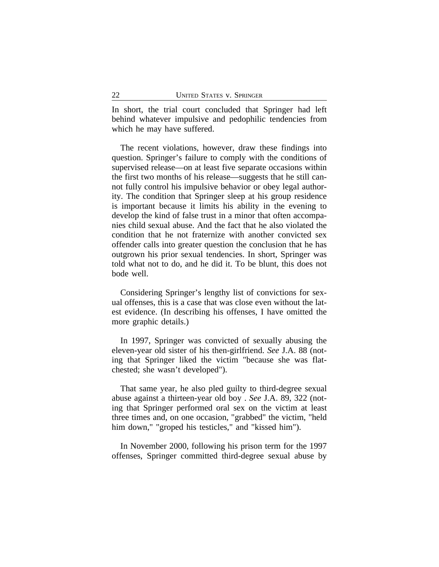In short, the trial court concluded that Springer had left behind whatever impulsive and pedophilic tendencies from which he may have suffered.

The recent violations, however, draw these findings into question. Springer's failure to comply with the conditions of supervised release—on at least five separate occasions within the first two months of his release—suggests that he still cannot fully control his impulsive behavior or obey legal authority. The condition that Springer sleep at his group residence is important because it limits his ability in the evening to develop the kind of false trust in a minor that often accompanies child sexual abuse. And the fact that he also violated the condition that he not fraternize with another convicted sex offender calls into greater question the conclusion that he has outgrown his prior sexual tendencies. In short, Springer was told what not to do, and he did it. To be blunt, this does not bode well.

Considering Springer's lengthy list of convictions for sexual offenses, this is a case that was close even without the latest evidence. (In describing his offenses, I have omitted the more graphic details.)

In 1997, Springer was convicted of sexually abusing the eleven-year old sister of his then-girlfriend. *See* J.A. 88 (noting that Springer liked the victim "because she was flatchested; she wasn't developed").

That same year, he also pled guilty to third-degree sexual abuse against a thirteen-year old boy . *See* J.A. 89, 322 (noting that Springer performed oral sex on the victim at least three times and, on one occasion, "grabbed" the victim, "held him down," "groped his testicles," and "kissed him").

In November 2000, following his prison term for the 1997 offenses, Springer committed third-degree sexual abuse by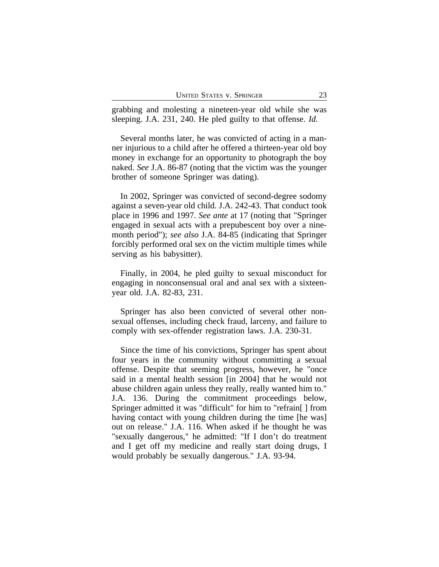grabbing and molesting a nineteen-year old while she was sleeping. J.A. 231, 240. He pled guilty to that offense. *Id.*

Several months later, he was convicted of acting in a manner injurious to a child after he offered a thirteen-year old boy money in exchange for an opportunity to photograph the boy naked. *See* J.A. 86-87 (noting that the victim was the younger brother of someone Springer was dating).

In 2002, Springer was convicted of second-degree sodomy against a seven-year old child. J.A. 242-43. That conduct took place in 1996 and 1997. *See ante* at 17 (noting that "Springer engaged in sexual acts with a prepubescent boy over a ninemonth period"); *see also* J.A. 84-85 (indicating that Springer forcibly performed oral sex on the victim multiple times while serving as his babysitter).

Finally, in 2004, he pled guilty to sexual misconduct for engaging in nonconsensual oral and anal sex with a sixteenyear old. J.A. 82-83, 231.

Springer has also been convicted of several other nonsexual offenses, including check fraud, larceny, and failure to comply with sex-offender registration laws. J.A. 230-31.

Since the time of his convictions, Springer has spent about four years in the community without committing a sexual offense. Despite that seeming progress, however, he "once said in a mental health session [in 2004] that he would not abuse children again unless they really, really wanted him to." J.A. 136. During the commitment proceedings below, Springer admitted it was "difficult" for him to "refrain[ ] from having contact with young children during the time [he was] out on release." J.A. 116. When asked if he thought he was "sexually dangerous," he admitted: "If I don't do treatment and I get off my medicine and really start doing drugs, I would probably be sexually dangerous." J.A. 93-94.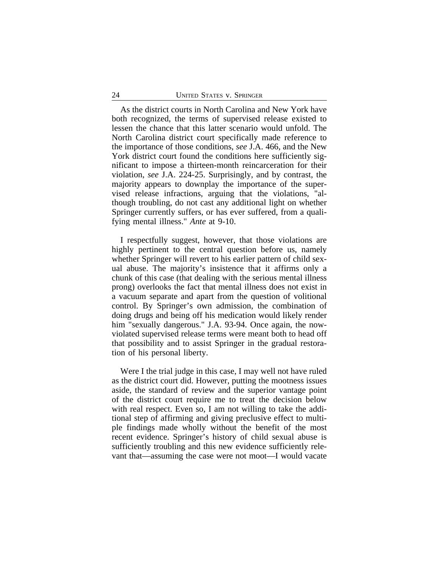As the district courts in North Carolina and New York have both recognized, the terms of supervised release existed to lessen the chance that this latter scenario would unfold. The North Carolina district court specifically made reference to the importance of those conditions, *see* J.A. 466, and the New York district court found the conditions here sufficiently significant to impose a thirteen-month reincarceration for their violation, *see* J.A. 224-25. Surprisingly, and by contrast, the majority appears to downplay the importance of the supervised release infractions, arguing that the violations, "although troubling, do not cast any additional light on whether Springer currently suffers, or has ever suffered, from a qualifying mental illness." *Ante* at 9-10.

I respectfully suggest, however, that those violations are highly pertinent to the central question before us, namely whether Springer will revert to his earlier pattern of child sexual abuse. The majority's insistence that it affirms only a chunk of this case (that dealing with the serious mental illness prong) overlooks the fact that mental illness does not exist in a vacuum separate and apart from the question of volitional control. By Springer's own admission, the combination of doing drugs and being off his medication would likely render him "sexually dangerous." J.A. 93-94. Once again, the nowviolated supervised release terms were meant both to head off that possibility and to assist Springer in the gradual restoration of his personal liberty.

Were I the trial judge in this case, I may well not have ruled as the district court did. However, putting the mootness issues aside, the standard of review and the superior vantage point of the district court require me to treat the decision below with real respect. Even so, I am not willing to take the additional step of affirming and giving preclusive effect to multiple findings made wholly without the benefit of the most recent evidence. Springer's history of child sexual abuse is sufficiently troubling and this new evidence sufficiently relevant that—assuming the case were not moot—I would vacate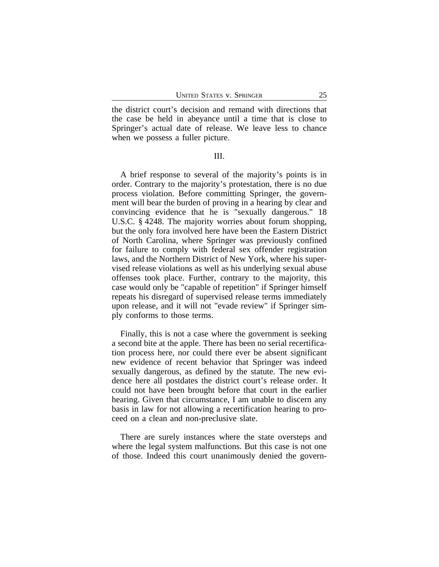the district court's decision and remand with directions that the case be held in abeyance until a time that is close to Springer's actual date of release. We leave less to chance when we possess a fuller picture.

#### III.

A brief response to several of the majority's points is in order. Contrary to the majority's protestation, there is no due process violation. Before committing Springer, the government will bear the burden of proving in a hearing by clear and convincing evidence that he is "sexually dangerous." 18 U.S.C. § 4248. The majority worries about forum shopping, but the only fora involved here have been the Eastern District of North Carolina, where Springer was previously confined for failure to comply with federal sex offender registration laws, and the Northern District of New York, where his supervised release violations as well as his underlying sexual abuse offenses took place. Further, contrary to the majority, this case would only be "capable of repetition" if Springer himself repeats his disregard of supervised release terms immediately upon release, and it will not "evade review" if Springer simply conforms to those terms.

Finally, this is not a case where the government is seeking a second bite at the apple. There has been no serial recertification process here, nor could there ever be absent significant new evidence of recent behavior that Springer was indeed sexually dangerous, as defined by the statute. The new evidence here all postdates the district court's release order. It could not have been brought before that court in the earlier hearing. Given that circumstance, I am unable to discern any basis in law for not allowing a recertification hearing to proceed on a clean and non-preclusive slate.

There are surely instances where the state oversteps and where the legal system malfunctions. But this case is not one of those. Indeed this court unanimously denied the govern